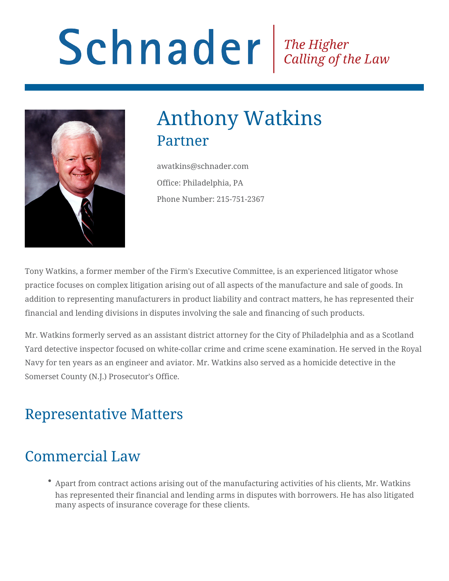# Schnader Re Higher Calling of the Law



# Anthony Watkins Partner

awatkins@schnader.com Office: Philadelphia, PA Phone Number: 215-751-2367

Tony Watkins, a former member of the Firm's Executive Committee, is an experienced litigator whose practice focuses on complex litigation arising out of all aspects of the manufacture and sale of goods. In addition to representing manufacturers in product liability and contract matters, he has represented their financial and lending divisions in disputes involving the sale and financing of such products.

Mr. Watkins formerly served as an assistant district attorney for the City of Philadelphia and as a Scotland Yard detective inspector focused on white-collar crime and crime scene examination. He served in the Royal Navy for ten years as an engineer and aviator. Mr. Watkins also served as a homicide detective in the Somerset County (N.J.) Prosecutor's Office.

## Representative Matters

# Commercial Law

Apart from contract actions arising out of the manufacturing activities of his clients, Mr. Watkins has represented their financial and lending arms in disputes with borrowers. He has also litigated many aspects of insurance coverage for these clients.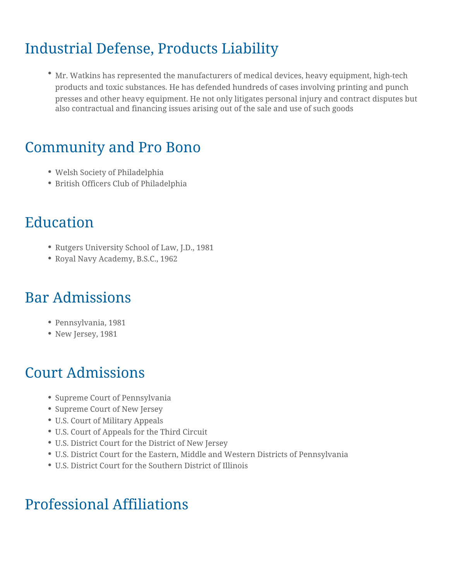## Industrial Defense, Products Liability

Mr. Watkins has represented the manufacturers of medical devices, heavy equipment, high-tech products and toxic substances. He has defended hundreds of cases involving printing and punch presses and other heavy equipment. He not only litigates personal injury and contract disputes but also contractual and financing issues arising out of the sale and use of such goods

#### Community and Pro Bono

- Welsh Society of Philadelphia
- British Officers Club of Philadelphia

#### Education

- Rutgers University School of Law, J.D., 1981
- Royal Navy Academy, B.S.C., 1962

#### Bar Admissions

- Pennsylvania, 1981
- New Jersey, 1981

#### Court Admissions

- Supreme Court of Pennsylvania
- Supreme Court of New Jersey
- U.S. Court of Military Appeals
- U.S. Court of Appeals for the Third Circuit
- U.S. District Court for the District of New Jersey
- U.S. District Court for the Eastern, Middle and Western Districts of Pennsylvania
- U.S. District Court for the Southern District of Illinois

#### Professional Affiliations